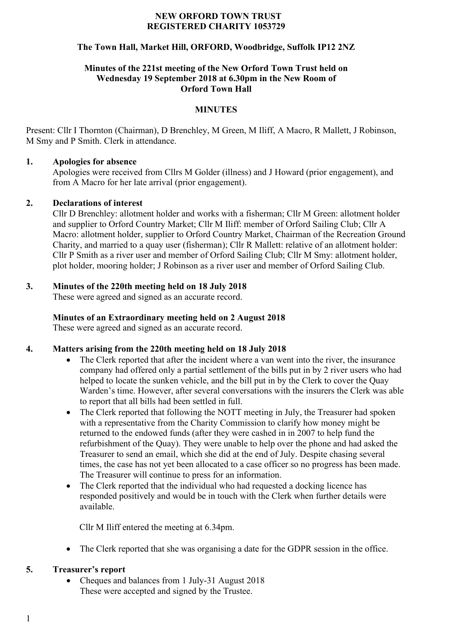#### **NEW ORFORD TOWN TRUST REGISTERED CHARITY 1053729**

# **The Town Hall, Market Hill, ORFORD, Woodbridge, Suffolk IP12 2NZ**

#### **Minutes of the 221st meeting of the New Orford Town Trust held on Wednesday 19 September 2018 at 6.30pm in the New Room of Orford Town Hall**

# **MINUTES**

Present: Cllr I Thornton (Chairman), D Brenchley, M Green, M Iliff, A Macro, R Mallett, J Robinson, M Smy and P Smith. Clerk in attendance.

#### **1. Apologies for absence**

Apologies were received from Cllrs M Golder (illness) and J Howard (prior engagement), and from A Macro for her late arrival (prior engagement).

#### **2. Declarations of interest**

Cllr D Brenchley: allotment holder and works with a fisherman; Cllr M Green: allotment holder and supplier to Orford Country Market; Cllr M Iliff: member of Orford Sailing Club; Cllr A Macro: allotment holder, supplier to Orford Country Market, Chairman of the Recreation Ground Charity, and married to a quay user (fisherman); Cllr R Mallett: relative of an allotment holder: Cllr P Smith as a river user and member of Orford Sailing Club; Cllr M Smy: allotment holder, plot holder, mooring holder; J Robinson as a river user and member of Orford Sailing Club.

# **3. Minutes of the 220th meeting held on 18 July 2018**

These were agreed and signed as an accurate record.

# **Minutes of an Extraordinary meeting held on 2 August 2018**

These were agreed and signed as an accurate record.

# **4. Matters arising from the 220th meeting held on 18 July 2018**

- The Clerk reported that after the incident where a van went into the river, the insurance company had offered only a partial settlement of the bills put in by 2 river users who had helped to locate the sunken vehicle, and the bill put in by the Clerk to cover the Quay Warden's time. However, after several conversations with the insurers the Clerk was able to report that all bills had been settled in full.
- The Clerk reported that following the NOTT meeting in July, the Treasurer had spoken with a representative from the Charity Commission to clarify how money might be returned to the endowed funds (after they were cashed in in 2007 to help fund the refurbishment of the Quay). They were unable to help over the phone and had asked the Treasurer to send an email, which she did at the end of July. Despite chasing several times, the case has not yet been allocated to a case officer so no progress has been made. The Treasurer will continue to press for an information.
- The Clerk reported that the individual who had requested a docking licence has responded positively and would be in touch with the Clerk when further details were available.

Cllr M Iliff entered the meeting at 6.34pm.

• The Clerk reported that she was organising a date for the GDPR session in the office.

# **5. Treasurer's report**

• Cheques and balances from 1 July-31 August 2018 These were accepted and signed by the Trustee.